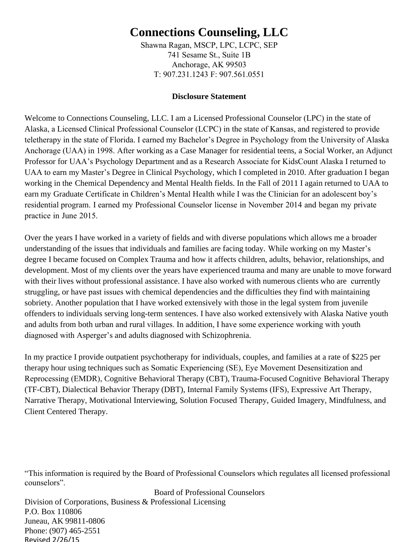# **Connections Counseling, LLC**

Shawna Ragan, MSCP, LPC, LCPC, SEP 741 Sesame St., Suite 1B Anchorage, AK 99503 T: 907.231.1243 F: 907.561.0551

### **Disclosure Statement**

Welcome to Connections Counseling, LLC. I am a Licensed Professional Counselor (LPC) in the state of Alaska, a Licensed Clinical Professional Counselor (LCPC) in the state of Kansas, and registered to provide teletherapy in the state of Florida. I earned my Bachelor's Degree in Psychology from the University of Alaska Anchorage (UAA) in 1998. After working as a Case Manager for residential teens, a Social Worker, an Adjunct Professor for UAA's Psychology Department and as a Research Associate for KidsCount Alaska I returned to UAA to earn my Master's Degree in Clinical Psychology, which I completed in 2010. After graduation I began working in the Chemical Dependency and Mental Health fields. In the Fall of 2011 I again returned to UAA to earn my Graduate Certificate in Children's Mental Health while I was the Clinician for an adolescent boy's residential program. I earned my Professional Counselor license in November 2014 and began my private practice in June 2015.

Over the years I have worked in a variety of fields and with diverse populations which allows me a broader understanding of the issues that individuals and families are facing today. While working on my Master's degree I became focused on Complex Trauma and how it affects children, adults, behavior, relationships, and development. Most of my clients over the years have experienced trauma and many are unable to move forward with their lives without professional assistance. I have also worked with numerous clients who are currently struggling, or have past issues with chemical dependencies and the difficulties they find with maintaining sobriety. Another population that I have worked extensively with those in the legal system from juvenile offenders to individuals serving long-term sentences. I have also worked extensively with Alaska Native youth and adults from both urban and rural villages. In addition, I have some experience working with youth diagnosed with Asperger's and adults diagnosed with Schizophrenia.

In my practice I provide outpatient psychotherapy for individuals, couples, and families at a rate of \$225 per therapy hour using techniques such as Somatic Experiencing (SE), Eye Movement Desensitization and Reprocessing (EMDR), Cognitive Behavioral Therapy (CBT), Trauma-Focused Cognitive Behavioral Therapy (TF-CBT), Dialectical Behavior Therapy (DBT), Internal Family Systems (IFS), Expressive Art Therapy, Narrative Therapy, Motivational Interviewing, Solution Focused Therapy, Guided Imagery, Mindfulness, and Client Centered Therapy.

"This information is required by the Board of Professional Counselors which regulates all licensed professional counselors".

Board of Professional Counselors Division of Corporations, Business & Professional Licensing P.O. Box 110806 Juneau, AK 99811-0806 Phone: (907) 465-2551 Revised 2/26/15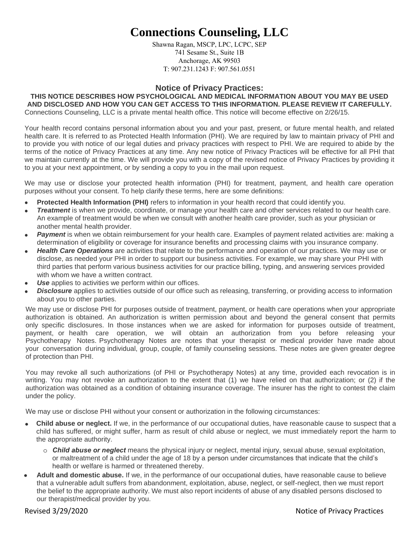# **Connections Counseling, LLC**

Shawna Ragan, MSCP, LPC, LCPC, SEP 741 Sesame St., Suite 1B Anchorage, AK 99503 T: 907.231.1243 F: 907.561.0551

#### **Notice of Privacy Practices:**

**THIS NOTICE DESCRIBES HOW PSYCHOLOGICAL AND MEDICAL INFORMATION ABOUT YOU MAY BE USED AND DISCLOSED AND HOW YOU CAN GET ACCESS TO THIS INFORMATION. PLEASE REVIEW IT CAREFULLY.** Connections Counseling, LLC is a private mental health office. This notice will become effective on 2/26/15.

Your health record contains personal information about you and your past, present, or future mental health, and related health care. It is referred to as Protected Health Information (PHI). We are required by law to maintain privacy of PHI and to provide you with notice of our legal duties and privacy practices with respect to PHI. We are required to abide by the terms of the notice of Privacy Practices at any time. Any new notice of Privacy Practices will be effective for all PHI that we maintain currently at the time. We will provide you with a copy of the revised notice of Privacy Practices by providing it to you at your next appointment, or by sending a copy to you in the mail upon request.

We may use or disclose your protected health information (PHI) for treatment, payment, and health care operation purposes without your consent. To help clarify these terms, here are some definitions:

- **Protected Health Information (PHI)** refers to information in your health record that could identify you.  $\bullet$
- *Treatment* is when we provide, coordinate, or manage your health care and other services related to our health care. ă An example of treatment would be when we consult with another health care provider, such as your physician or another mental health provider.
- *Payment* is when we obtain reimbursement for your health care. Examples of payment related activities are: making a determination of eligibility or coverage for insurance benefits and processing claims with you insurance company.
- *Health Care Operations* are activities that relate to the performance and operation of our practices. We may use or disclose, as needed your PHI in order to support our business activities. For example, we may share your PHI with third parties that perform various business activities for our practice billing, typing, and answering services provided with whom we have a written contract.
- *Use* applies to activities we perform within our offices.
- *Disclosure* applies to activities outside of our office such as releasing, transferring, or providing access to information about you to other parties.

We may use or disclose PHI for purposes outside of treatment, payment, or health care operations when your appropriate authorization is obtained. An authorization is written permission about and beyond the general consent that permits only specific disclosures. In those instances when we are asked for information for purposes outside of treatment, payment, or health care operation, we will obtain an authorization from you before releasing your Psychotherapy Notes. Psychotherapy Notes are notes that your therapist or medical provider have made about your conversation during individual, group, couple, of family counseling sessions. These notes are given greater degree of protection than PHI.

You may revoke all such authorizations (of PHI or Psychotherapy Notes) at any time, provided each revocation is in writing. You may not revoke an authorization to the extent that (1) we have relied on that authorization; or (2) if the authorization was obtained as a condition of obtaining insurance coverage. The insurer has the right to contest the claim under the policy.

We may use or disclose PHI without your consent or authorization in the following circumstances:

- **Child abuse or neglect.** If we, in the performance of our occupational duties, have reasonable cause to suspect that a child has suffered, or might suffer, harm as result of child abuse or neglect, we must immediately report the harm to the appropriate authority.
	- o *Child abuse or neglect* means the physical injury or neglect, mental injury, sexual abuse, sexual exploitation, or maltreatment of a child under the age of 18 by a person under circumstances that indicate that the child's health or welfare is harmed or threatened thereby.
- **Adult and domestic abuse.** If we, in the performance of our occupational duties, have reasonable cause to believe  $\bullet$ that a vulnerable adult suffers from abandonment, exploitation, abuse, neglect, or self-neglect, then we must report the belief to the appropriate authority. We must also report incidents of abuse of any disabled persons disclosed to our therapist/medical provider by you.